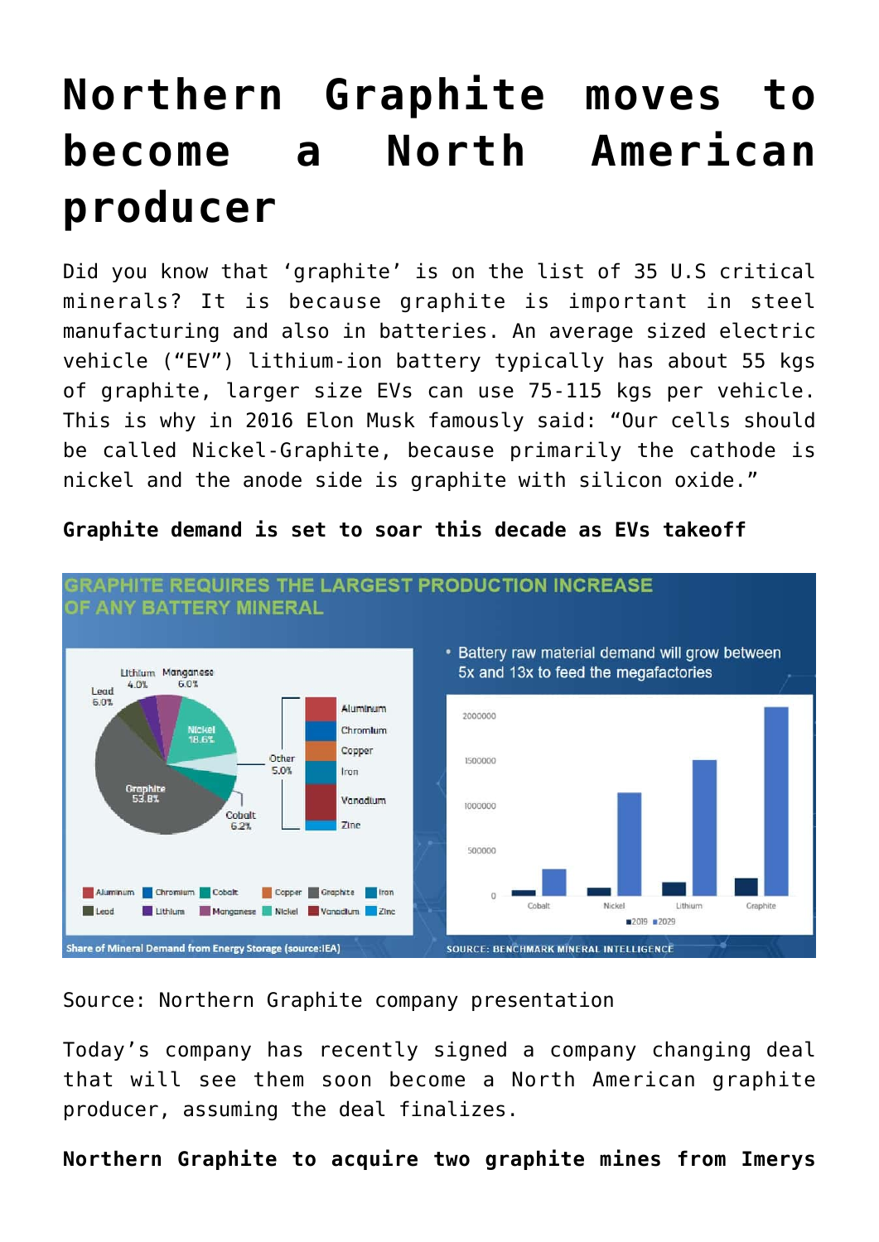# **[Northern Graphite moves to](https://investorintel.com/markets/technology-metals/technology-metals-intel/northern-graphite-moves-to-become-a-north-american-producer/) [become a North American](https://investorintel.com/markets/technology-metals/technology-metals-intel/northern-graphite-moves-to-become-a-north-american-producer/) [producer](https://investorintel.com/markets/technology-metals/technology-metals-intel/northern-graphite-moves-to-become-a-north-american-producer/)**

Did you know that 'graphite' is on the [list of 35 U.S critical](https://www.federalregister.gov/documents/2021/11/09/2021-24488/2021-draft-list-of-critical-minerals) [minerals](https://www.federalregister.gov/documents/2021/11/09/2021-24488/2021-draft-list-of-critical-minerals)? It is because graphite is important in steel manufacturing and also in batteries. An average sized electric vehicle ("EV") lithium-ion battery typically has about 55 kgs of graphite, larger size EVs can use [75-115 kgs](https://pubs.rsc.org/en/content/articlehtml/2020/se/d0se00175a) per vehicle. This is why in 2016 Elon Musk famously [said:](https://www2.argusmedia.com/-/media/Files/white-papers/getting-graphite-prices-right.ashx) "Our cells should be called Nickel-Graphite, because primarily the cathode is nickel and the anode side is graphite with silicon oxide."

#### **GRAPHITE REQUIRES THE LARGEST PRODUCTION INCREASE** OF ANY BATTERY MINERAL • Battery raw material demand will grow between 5x and 13x to feed the megafactories **Ithium Managnese**  $6.0%$ 4.0% Lead 6.03 Aluminum 2000000 Chromlum Nickel<br>18.6% Copper Other 1500000 5.0% Iron Graphite<br>53.8% Vanadium 1000000 Cobalt  $7<sub>line</sub>$ 6.2% 500000 Copper Graphite Iron Aluminum Chromium Cobalt

#### **Graphite demand is set to soar this decade as EVs takeoff**

Share of Mineral Demand from Energy Storage (source:IEA)

Lithium Manganese Nickel Vanadium Zinc

 $\blacksquare$  Lead

Source: [Northern Graphite company presentation](https://www.northerngraphite.com/_resources/presentations/corporate-presentation.pdf)

Today's company has recently signed a company changing deal that will see them soon become a North American graphite producer, assuming the deal finalizes.

Cohalt

SOURCE: BENCHMARK MINERAL INTELLIGENCE

Nickel

■2019 ■2029

1 ithium

Craphite

**Northern Graphite to acquire two graphite mines from Imerys**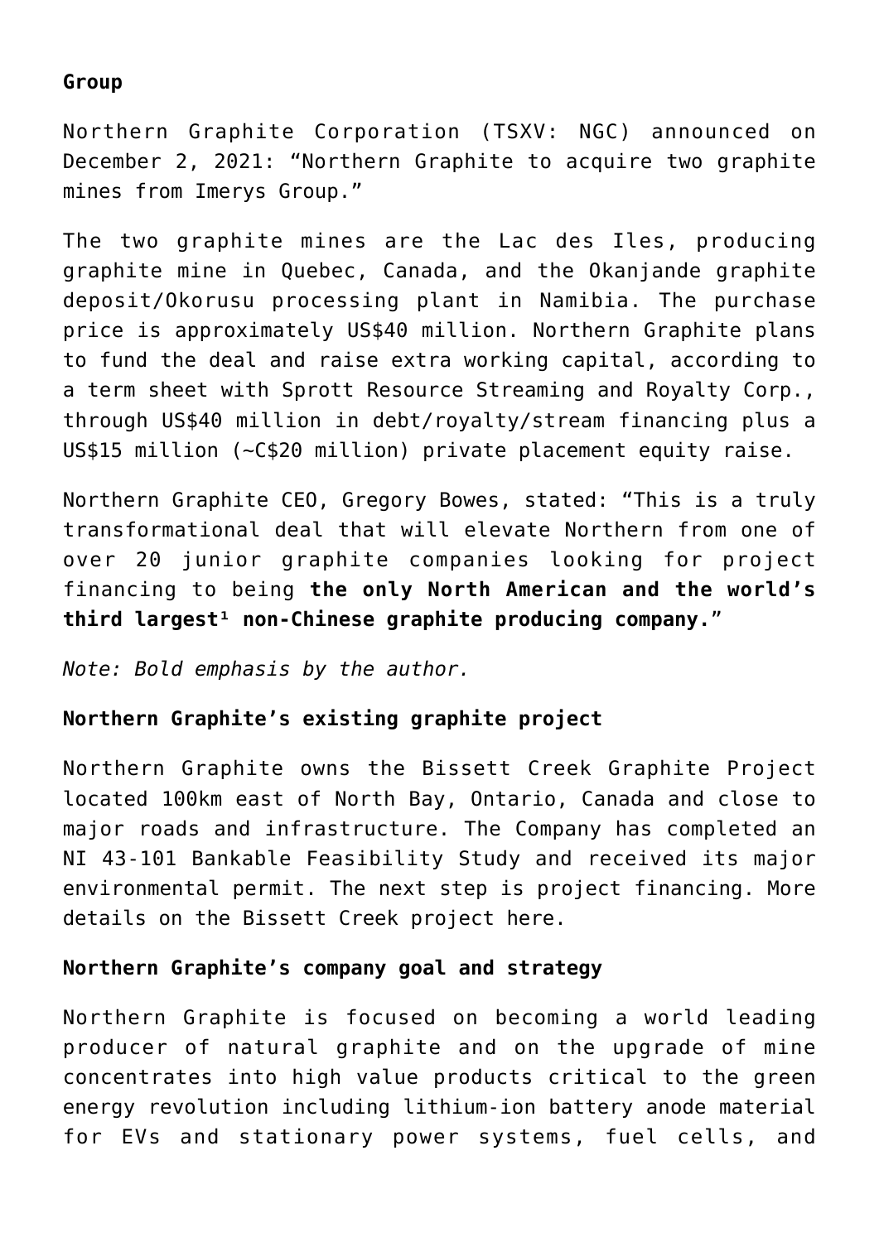### **Group**

[Northern Graphite Corporation](https://www.northerngraphite.com/) (TSXV: NGC) [announced](https://www.northerngraphite.com/media/news-releases/display/northern-graphite-to-acquire-two-graphite-mines-from-imerys-group) on December 2, 2021: "Northern Graphite to acquire two graphite mines from Imerys Group."

The two graphite mines are the Lac des Iles, producing graphite mine in Quebec, Canada, and the Okanjande graphite deposit/Okorusu processing plant in Namibia. The purchase price is approximately [US\\$40 million.](https://www.northerngraphite.com/media/news-releases/display/northern-graphite-to-acquire-two-graphite-mines-from-imerys-group) Northern Graphite plans to fund the deal and raise extra working capital, according to a term sheet with Sprott Resource Streaming and Royalty Corp., through [US\\$40 million](https://www.northerngraphite.com/media/news-releases/display/northern-graphite-corporate-and-market-update) in debt/royalty/stream financing plus a US\$15 million (~[C\\$20 million\)](https://www.northerngraphite.com/media/news-releases/display/northern-graphite-announces-terms-of-private-placement) private placement equity raise.

Northern Graphite CEO, Gregory Bowes, [stated](https://www.northerngraphite.com/media/news-releases/display/northern-graphite-to-acquire-two-graphite-mines-from-imerys-group): "This is a truly transformational deal that will elevate Northern from one of over 20 junior graphite companies looking for project financing to being **the only North American and the world's** third largest<sup>1</sup> non-Chinese graphite producing company."

*Note: Bold emphasis by the author.*

#### **Northern Graphite's existing graphite project**

Northern Graphite owns the Bissett Creek Graphite Project located 100km east of North Bay, Ontario, Canada and close to major roads and infrastructure. The Company has completed an NI 43-101 Bankable Feasibility Study and received its major environmental permit. The next step is project financing. More details on the Bissett Creek project [here.](https://www.northerngraphite.com/project/bissett-creek-project/overview/)

#### **Northern Graphite's company goal and strategy**

Northern Graphite is focused on becoming a world leading producer of natural graphite and on the upgrade of mine concentrates into high value products critical to the green energy revolution including lithium-ion battery anode material for EVs and stationary power systems, fuel cells, and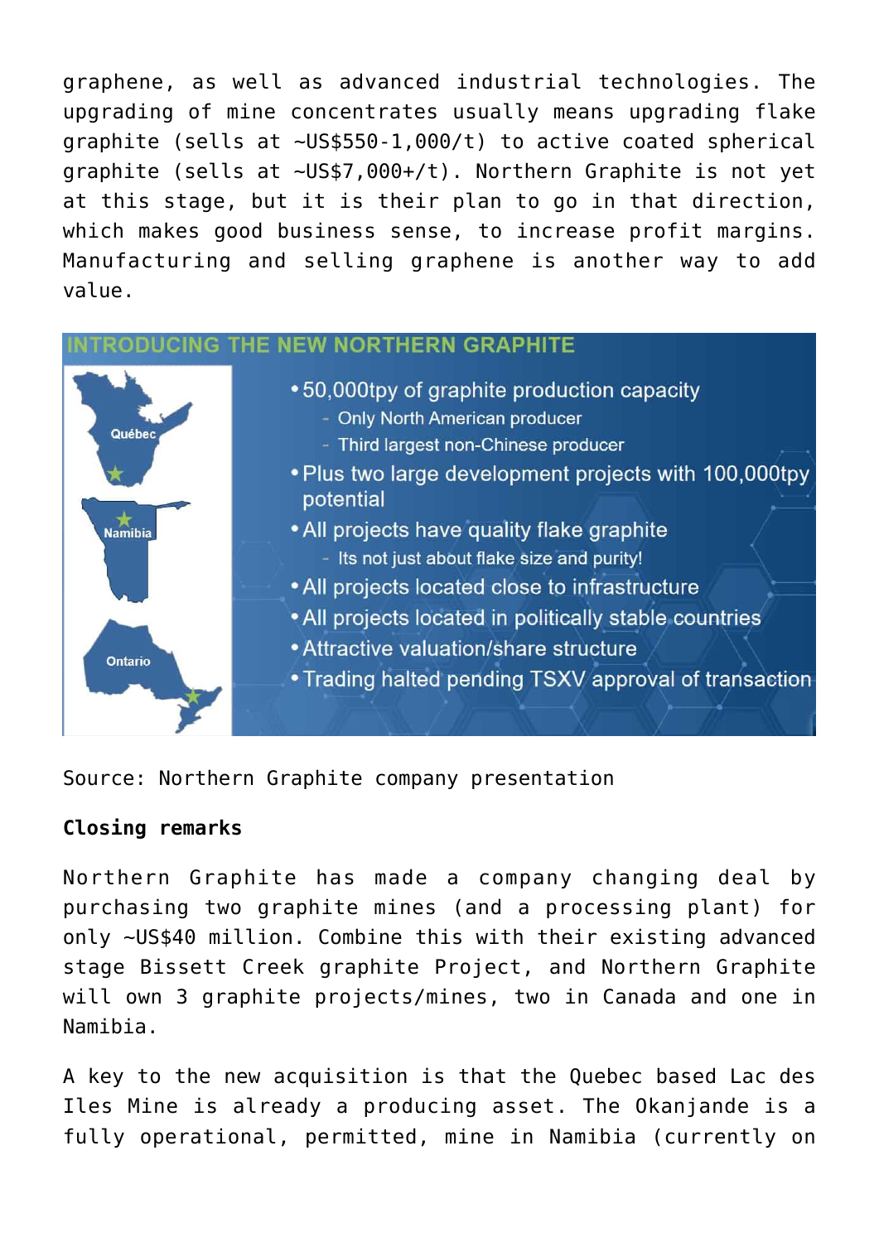graphene, as well as advanced industrial technologies. The upgrading of mine concentrates usually means upgrading flake graphite (sells at [~US\\$550-1,000/t](https://www.indmin.com/Article/4019744/Graphite-LatestNews/Production-halt-pushes-fob-China-fine-graphite-flake-price-up.html)) to active coated spherical graphite (sells at [~US\\$7,000+/t](https://leadingedgematerials.com/leading-edge-materials-reports-quarterly-results-to-january-31-2021/)). Northern Graphite is not yet at this stage, but it is their plan to go in that direction, which makes good business sense, to increase profit margins. Manufacturing and selling graphene is another way to add value.

| Québec<br><b>Namibia</b><br><b>Ontario</b> | •50,000tpy of graphite production capacity<br>- Only North American producer<br>- Third largest non-Chinese producer<br>• Plus two large development projects with 100,000tpy<br>potential<br>• All projects have quality flake graphite<br>- Its not just about flake size and purity!<br>• All projects located close to infrastructure<br>• All projects located in politically stable countries<br>• Attractive valuation/share structure<br>• Trading halted pending TSXV approval of transaction |
|--------------------------------------------|--------------------------------------------------------------------------------------------------------------------------------------------------------------------------------------------------------------------------------------------------------------------------------------------------------------------------------------------------------------------------------------------------------------------------------------------------------------------------------------------------------|

Source: [Northern Graphite company presentation](https://www.northerngraphite.com/_resources/presentations/corporate-presentation.pdf)

## **Closing remarks**

Northern Graphite has made a company changing deal by purchasing two graphite mines (and a processing plant) for only ~US\$40 million. Combine this with their existing advanced stage Bissett Creek graphite Project, and Northern Graphite will own 3 graphite projects/mines, two in Canada and one in Namibia.

A key to the new acquisition is that the Quebec based Lac des Iles Mine is already a producing asset. The Okanjande is a fully operational, permitted, mine in Namibia (currently on